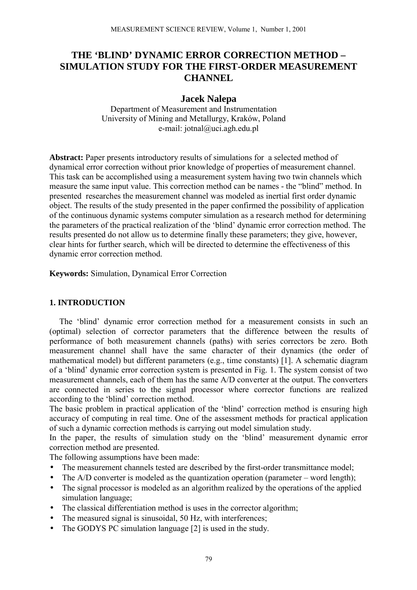# **THE 'BLIND' DYNAMIC ERROR CORRECTION METHOD – SIMULATION STUDY FOR THE FIRST-ORDER MEASUREMENT CHANNEL**

## **Jacek Nalepa**

Department of Measurement and Instrumentation University of Mining and Metallurgy, Kraków, Poland e-mail: jotnal@uci.agh.edu.pl

Abstract: Paper presents introductory results of simulations for a selected method of dynamical error correction without prior knowledge of properties of measurement channel. This task can be accomplished using a measurement system having two twin channels which measure the same input value. This correction method can be names - the "blind" method. In presented researches the measurement channel was modeled as inertial first order dynamic object. The results of the study presented in the paper confirmed the possibility of application of the continuous dynamic systems computer simulation as a research method for determining the parameters of the practical realization of the 'blind' dynamic error correction method. The results presented do not allow us to determine finally these parameters; they give, however, clear hints for further search, which will be directed to determine the effectiveness of this dynamic error correction method.

**Keywords:** Simulation, Dynamical Error Correction

### **1. INTRODUCTION**

The 'blind' dynamic error correction method for a measurement consists in such an (optimal) selection of corrector parameters that the difference between the results of performance of both measurement channels (paths) with series correctors be zero. Both measurement channel shall have the same character of their dynamics (the order of mathematical model) but different parameters (e.g., time constants) [1]. A schematic diagram of a 'blind' dynamic error correction system is presented in Fig. 1. The system consist of two measurement channels, each of them has the same A/D converter at the output. The converters are connected in series to the signal processor where corrector functions are realized according to the 'blind' correction method.

The basic problem in practical application of the 'blind' correction method is ensuring high accuracy of computing in real time. One of the assessment methods for practical application of such a dynamic correction methods is carrying out model simulation study.

In the paper, the results of simulation study on the 'blind' measurement dynamic error correction method are presented.

The following assumptions have been made:

- The measurement channels tested are described by the first-order transmittance model;
- The  $A/D$  converter is modeled as the quantization operation (parameter word length);
- The signal processor is modeled as an algorithm realized by the operations of the applied simulation language;
- The classical differentiation method is uses in the corrector algorithm;
- The measured signal is sinusoidal, 50 Hz, with interferences;
- The GODYS PC simulation language [2] is used in the study.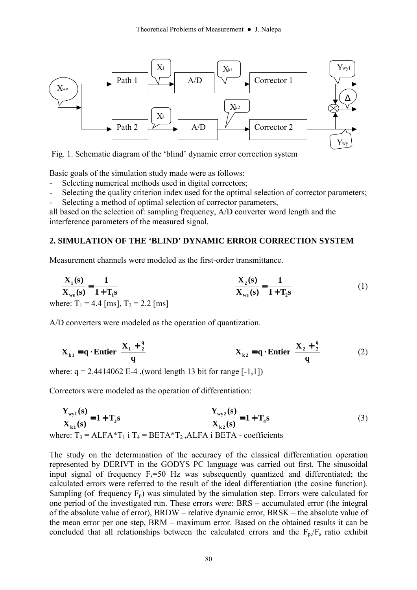

Fig. 1. Schematic diagram of the 'blind' dynamic error correction system

Basic goals of the simulation study made were as follows:

- Selecting numerical methods used in digital correctors;
- Selecting the quality criterion index used for the optimal selection of corrector parameters;
- Selecting a method of optimal selection of corrector parameters,

all based on the selection of: sampling frequency, A/D converter word length and the interference parameters of the measured signal.

### **2. SIMULATION OF THE 'BLIND' DYNAMIC ERROR CORRECTION SYSTEM**

Measurement channels were modeled as the first-order transmittance.

$$
\frac{X_1(s)}{X_{we}(s)} = \frac{1}{1 + T_1 s}
$$
\nwhere: T<sub>1</sub> = 4.4 [ms], T<sub>2</sub> = 2.2 [ms] (1)

A/D converters were modeled as the operation of quantization.

$$
\mathbf{X}_{k1} = \mathbf{q} \cdot \text{Entier}\left[\frac{\mathbf{X}_1 + \frac{\mathbf{q}}{2}}{\mathbf{q}}\right] \qquad \qquad \mathbf{X}_{k2} = \mathbf{q} \cdot \text{Entier}\left[\frac{\mathbf{X}_2 + \frac{\mathbf{q}}{2}}{\mathbf{q}}\right] \qquad (2)
$$

where:  $q = 2.4414062$  E-4 , (word length 13 bit for range [-1,1])

Correctors were modeled as the operation of differentiation:

$$
\frac{Y_{\text{wy1}}(s)}{X_{k1}(s)} = 1 + T_3 s \qquad \frac{Y_{\text{wy2}}(s)}{X_{k2}(s)} = 1 + T_4 s \qquad (3)
$$

where:  $T_3 = ALFA*T_1$  i  $T_4 = BETA*T_2$ , ALFA i BETA - coefficients

The study on the determination of the accuracy of the classical differentiation operation represented by DERIVT in the GODYS PC language was carried out first. The sinusoidal input signal of frequency  $F_s = 50$  Hz was subsequently quantized and differentiated; the calculated errors were referred to the result of the ideal differentiation (the cosine function). Sampling (of frequency  $F_p$ ) was simulated by the simulation step. Errors were calculated for one period of the investigated run. These errors were: BRS – accumulated error (the integral of the absolute value of error),  $BRDW$  – relative dynamic error,  $BRSK$  – the absolute value of the mean error per one step,  $BRM -$  maximum error. Based on the obtained results it can be concluded that all relationships between the calculated errors and the  $F_p/F_s$  ratio exhibit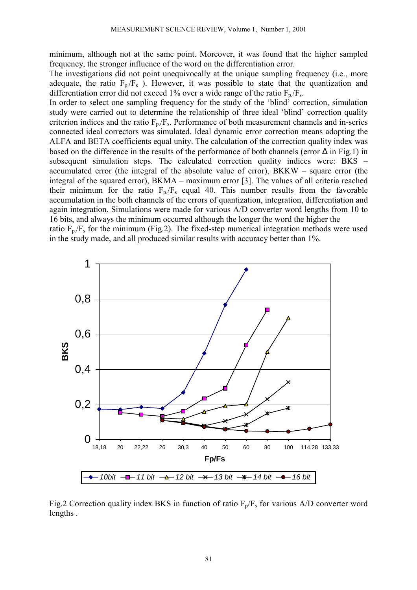minimum, although not at the same point. Moreover, it was found that the higher sampled frequency, the stronger influence of the word on the differentiation error.

The investigations did not point unequivocally at the unique sampling frequency (i.e., more adequate, the ratio  $F_p/F_s$ ). However, it was possible to state that the quantization and differentiation error did not exceed 1% over a wide range of the ratio  $F_p/F_s$ .

In order to select one sampling frequency for the study of the 'blind' correction, simulation study were carried out to determine the relationship of three ideal 'blind' correction quality criterion indices and the ratio  $F_p/F_s$ . Performance of both measurement channels and in-series connected ideal correctors was simulated. Ideal dynamic error correction means adopting the ALFA and BETA coefficients equal unity. The calculation of the correction quality index was based on the difference in the results of the performance of both channels (error ∆ in Fig.1) in subsequent simulation steps. The calculated correction quality indices were: BKS  $$ accumulated error (the integral of the absolute value of error),  $BKKW -$  square error (the integral of the squared error),  $BKMA$  – maximum error [3]. The values of all criteria reached their minimum for the ratio  $F_p/F_s$  equal 40. This number results from the favorable accumulation in the both channels of the errors of quantization, integration, differentiation and again integration. Simulations were made for various A/D converter word lengths from 10 to 16 bits, and always the minimum occurred although the longer the word the higher the

ratio  $F_p/F_s$  for the minimum (Fig.2). The fixed-step numerical integration methods were used in the study made, and all produced similar results with accuracy better than 1%.



Fig.2 Correction quality index BKS in function of ratio  $F_p/F_s$  for various A/D converter word lengths .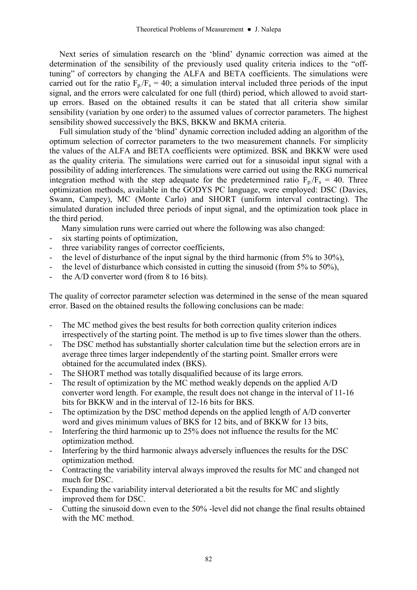Next series of simulation research on the 'blind' dynamic correction was aimed at the determination of the sensibility of the previously used quality criteria indices to the "offtuning" of correctors by changing the ALFA and BETA coefficients. The simulations were carried out for the ratio  $F_p/F_s = 40$ ; a simulation interval included three periods of the input signal, and the errors were calculated for one full (third) period, which allowed to avoid startup errors. Based on the obtained results it can be stated that all criteria show similar sensibility (variation by one order) to the assumed values of corrector parameters. The highest sensibility showed successively the BKS, BKKW and BKMA criteria.

Full simulation study of the 'blind' dynamic correction included adding an algorithm of the optimum selection of corrector parameters to the two measurement channels. For simplicity the values of the ALFA and BETA coefficients were optimized. BSK and BKKW were used as the quality criteria. The simulations were carried out for a sinusoidal input signal with a possibility of adding interferences. The simulations were carried out using the RKG numerical integration method with the step adequate for the predetermined ratio  $F_p/F_s = 40$ . Three optimization methods, available in the GODYS PC language, were employed: DSC (Davies, Swann, Campey), MC (Monte Carlo) and SHORT (uniform interval contracting). The simulated duration included three periods of input signal, and the optimization took place in the third period.

Many simulation runs were carried out where the following was also changed:

- six starting points of optimization,
- three variability ranges of corrector coefficients,
- the level of disturbance of the input signal by the third harmonic (from 5% to 30%).
- the level of disturbance which consisted in cutting the sinusoid (from  $5\%$  to  $50\%$ ),
- the A/D converter word (from 8 to 16 bits).

The quality of corrector parameter selection was determined in the sense of the mean squared error. Based on the obtained results the following conclusions can be made:

- The MC method gives the best results for both correction quality criterion indices irrespectively of the starting point. The method is up to five times slower than the others.
- The DSC method has substantially shorter calculation time but the selection errors are in average three times larger independently of the starting point. Smaller errors were obtained for the accumulated index (BKS).
- The SHORT method was totally disqualified because of its large errors.
- The result of optimization by the MC method weakly depends on the applied A/D converter word length. For example, the result does not change in the interval of 11-16 bits for BKKW and in the interval of 12-16 bits for BKS.
- The optimization by the DSC method depends on the applied length of A/D converter word and gives minimum values of BKS for 12 bits, and of BKKW for 13 bits,
- Interfering the third harmonic up to 25% does not influence the results for the MC optimization method.
- Interfering by the third harmonic always adversely influences the results for the DSC optimization method.
- Contracting the variability interval always improved the results for MC and changed not much for DSC.
- Expanding the variability interval deteriorated a bit the results for MC and slightly improved them for DSC.
- Cutting the sinusoid down even to the 50% -level did not change the final results obtained with the MC method.